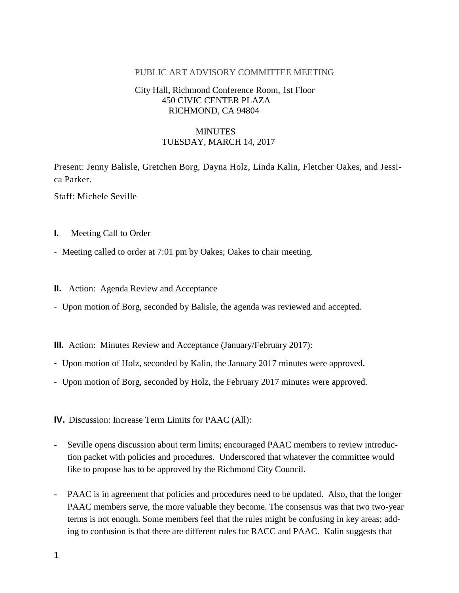#### PUBLIC ART ADVISORY COMMITTEE MEETING

## City Hall, Richmond Conference Room, 1st Floor 450 CIVIC CENTER PLAZA RICHMOND, CA 94804

# **MINUTES** TUESDAY, MARCH 14, 2017

Present: Jenny Balisle, Gretchen Borg, Dayna Holz, Linda Kalin, Fletcher Oakes, and Jessica Parker.

Staff: Michele Seville

- **I.** Meeting Call to Order
- Meeting called to order at 7:01 pm by Oakes; Oakes to chair meeting.
- **II.** Action: Agenda Review and Acceptance
- Upon motion of Borg, seconded by Balisle, the agenda was reviewed and accepted.
- **III.** Action: Minutes Review and Acceptance (January/February 2017):
- Upon motion of Holz, seconded by Kalin, the January 2017 minutes were approved.
- Upon motion of Borg, seconded by Holz, the February 2017 minutes were approved.

**IV.** Discussion: Increase Term Limits for PAAC (All):

- Seville opens discussion about term limits; encouraged PAAC members to review introduction packet with policies and procedures. Underscored that whatever the committee would like to propose has to be approved by the Richmond City Council.
- PAAC is in agreement that policies and procedures need to be updated. Also, that the longer PAAC members serve, the more valuable they become. The consensus was that two two-year terms is not enough. Some members feel that the rules might be confusing in key areas; adding to confusion is that there are different rules for RACC and PAAC. Kalin suggests that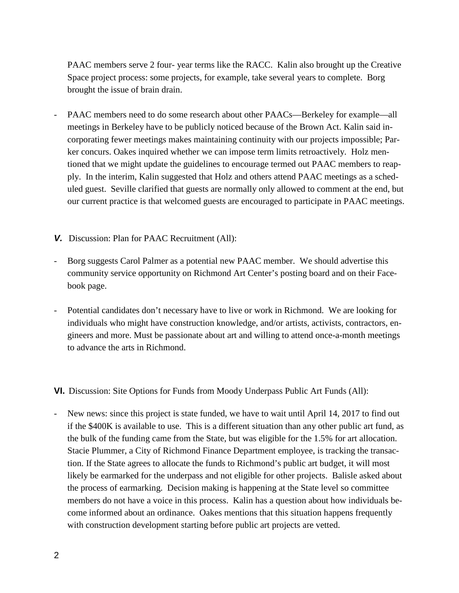PAAC members serve 2 four- year terms like the RACC. Kalin also brought up the Creative Space project process: some projects, for example, take several years to complete. Borg brought the issue of brain drain.

- PAAC members need to do some research about other PAACs—Berkeley for example—all meetings in Berkeley have to be publicly noticed because of the Brown Act. Kalin said incorporating fewer meetings makes maintaining continuity with our projects impossible; Parker concurs. Oakes inquired whether we can impose term limits retroactively. Holz mentioned that we might update the guidelines to encourage termed out PAAC members to reapply. In the interim, Kalin suggested that Holz and others attend PAAC meetings as a scheduled guest. Seville clarified that guests are normally only allowed to comment at the end, but our current practice is that welcomed guests are encouraged to participate in PAAC meetings.
- *V.* Discussion: Plan for PAAC Recruitment (All):
- Borg suggests Carol Palmer as a potential new PAAC member. We should advertise this community service opportunity on Richmond Art Center's posting board and on their Facebook page.
- Potential candidates don't necessary have to live or work in Richmond. We are looking for individuals who might have construction knowledge, and/or artists, activists, contractors, engineers and more. Must be passionate about art and willing to attend once-a-month meetings to advance the arts in Richmond.

**VI.** Discussion: Site Options for Funds from Moody Underpass Public Art Funds (All):

New news: since this project is state funded, we have to wait until April 14, 2017 to find out if the \$400K is available to use. This is a different situation than any other public art fund, as the bulk of the funding came from the State, but was eligible for the 1.5% for art allocation. Stacie Plummer, a City of Richmond Finance Department employee, is tracking the transaction. If the State agrees to allocate the funds to Richmond's public art budget, it will most likely be earmarked for the underpass and not eligible for other projects. Balisle asked about the process of earmarking. Decision making is happening at the State level so committee members do not have a voice in this process. Kalin has a question about how individuals become informed about an ordinance. Oakes mentions that this situation happens frequently with construction development starting before public art projects are vetted.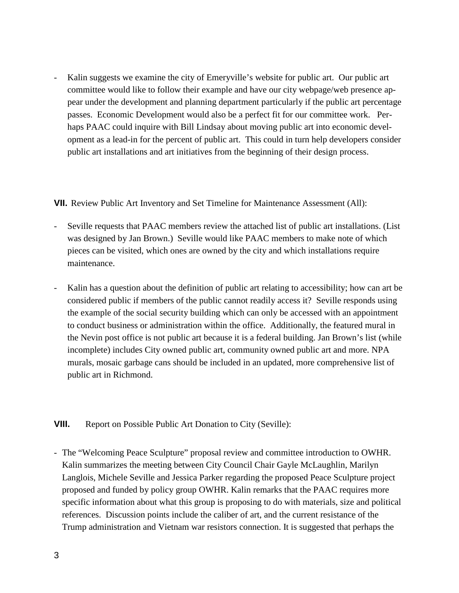Kalin suggests we examine the city of Emeryville's website for public art. Our public art committee would like to follow their example and have our city webpage/web presence appear under the development and planning department particularly if the public art percentage passes. Economic Development would also be a perfect fit for our committee work. Perhaps PAAC could inquire with Bill Lindsay about moving public art into economic development as a lead-in for the percent of public art. This could in turn help developers consider public art installations and art initiatives from the beginning of their design process.

**VII.** Review Public Art Inventory and Set Timeline for Maintenance Assessment (All):

- Seville requests that PAAC members review the attached list of public art installations. (List was designed by Jan Brown.) Seville would like PAAC members to make note of which pieces can be visited, which ones are owned by the city and which installations require maintenance.
- Kalin has a question about the definition of public art relating to accessibility; how can art be considered public if members of the public cannot readily access it? Seville responds using the example of the social security building which can only be accessed with an appointment to conduct business or administration within the office. Additionally, the featured mural in the Nevin post office is not public art because it is a federal building. Jan Brown's list (while incomplete) includes City owned public art, community owned public art and more. NPA murals, mosaic garbage cans should be included in an updated, more comprehensive list of public art in Richmond.

**VIII.** Report on Possible Public Art Donation to City (Seville):

- The "Welcoming Peace Sculpture" proposal review and committee introduction to OWHR. Kalin summarizes the meeting between City Council Chair Gayle McLaughlin, Marilyn Langlois, Michele Seville and Jessica Parker regarding the proposed Peace Sculpture project proposed and funded by policy group OWHR. Kalin remarks that the PAAC requires more specific information about what this group is proposing to do with materials, size and political references. Discussion points include the caliber of art, and the current resistance of the Trump administration and Vietnam war resistors connection. It is suggested that perhaps the